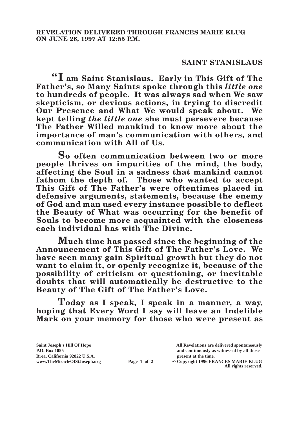## **SAINT STANISLAUS**

**"I am Saint Stanislaus. Early in This Gift of The Father's, so Many Saints spoke through this** *little one* **to hundreds of people. It was always sad when We saw skepticism, or devious actions, in trying to discredit Our Presence and What We would speak about. We kept telling** *the little one* **she must persevere because The Father Willed mankind to know more about the importance of man's communication with others, and communication with All of Us.**

**So often communication between two or more people thrives on impurities of the mind, the body, affecting the Soul in a sadness that mankind cannot fathom the depth of. Those who wanted to accept This Gift of The Father's were oftentimes placed in defensive arguments, statements, because the enemy of God and man used every instance possible to deflect the Beauty of What was occurring for the benefit of Souls to become more acquainted with the closeness each individual has with The Divine.**

**Much time has passed since the beginning of the Announcement of This Gift of The Father's Love. We have seen many gain Spiritual growth but they do not want to claim it, or openly recognize it, because of the possibility of criticism or questioning, or inevitable doubts that will automatically be destructive to the Beauty of The Gift of The Father's Love.**

**Today as I speak, I speak in a manner, a way, hoping that Every Word I say will leave an Indelible Mark on your memory for those who were present as** 

**Saint Joseph's Hill Of Hope All Revelations are delivered spontaneously P.O. Box 1055 and continuously as witnessed by all those Page 1 of 2** © Copyright 1996 FRANCES MARIE KLUG

**All rights reserved.**